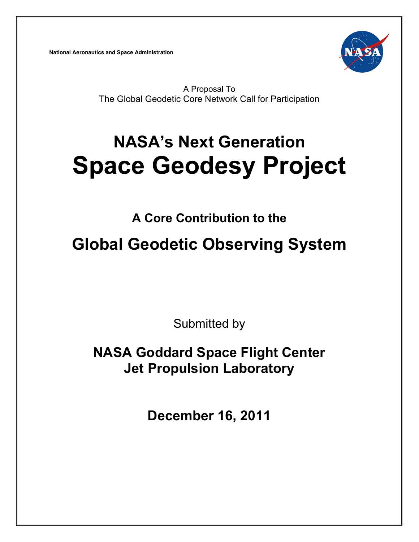**National Aeronautics and Space Administration**



A Proposal To The Global Geodetic Core Network Call for Participation

# **NASA's Next Generation Space Geodesy Project**

**A Core Contribution to the**

**Global Geodetic Observing System**

Submitted by

**NASA Goddard Space Flight Center Jet Propulsion Laboratory**

**December 16, 2011**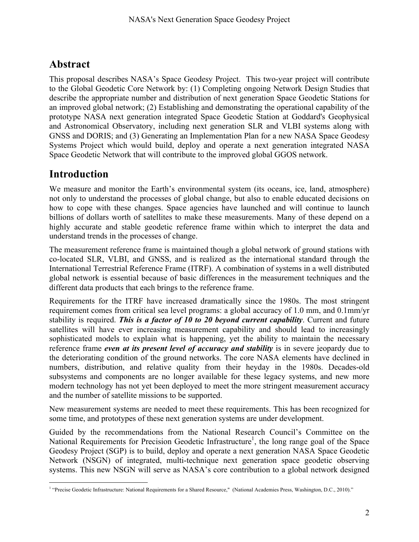## **Abstract**

This proposal describes NASA's Space Geodesy Project. This two-year project will contribute to the Global Geodetic Core Network by: (1) Completing ongoing Network Design Studies that describe the appropriate number and distribution of next generation Space Geodetic Stations for an improved global network; (2) Establishing and demonstrating the operational capability of the prototype NASA next generation integrated Space Geodetic Station at Goddard's Geophysical and Astronomical Observatory, including next generation SLR and VLBI systems along with GNSS and DORIS; and (3) Generating an Implementation Plan for a new NASA Space Geodesy Systems Project which would build, deploy and operate a next generation integrated NASA Space Geodetic Network that will contribute to the improved global GGOS network.

## **Introduction**

We measure and monitor the Earth's environmental system (its oceans, ice, land, atmosphere) not only to understand the processes of global change, but also to enable educated decisions on how to cope with these changes. Space agencies have launched and will continue to launch billions of dollars worth of satellites to make these measurements. Many of these depend on a highly accurate and stable geodetic reference frame within which to interpret the data and understand trends in the processes of change.

The measurement reference frame is maintained though a global network of ground stations with co-located SLR, VLBI, and GNSS, and is realized as the international standard through the International Terrestrial Reference Frame (ITRF). A combination of systems in a well distributed global network is essential because of basic differences in the measurement techniques and the different data products that each brings to the reference frame.

Requirements for the ITRF have increased dramatically since the 1980s. The most stringent requirement comes from critical sea level programs: a global accuracy of 1.0 mm, and 0.1mm/yr stability is required. *This is a factor of 10 to 20 beyond current capability*. Current and future satellites will have ever increasing measurement capability and should lead to increasingly sophisticated models to explain what is happening, yet the ability to maintain the necessary reference frame *even at its present level of accuracy and stability* is in severe jeopardy due to the deteriorating condition of the ground networks. The core NASA elements have declined in numbers, distribution, and relative quality from their heyday in the 1980s. Decades-old subsystems and components are no longer available for these legacy systems, and new more modern technology has not yet been deployed to meet the more stringent measurement accuracy and the number of satellite missions to be supported.

New measurement systems are needed to meet these requirements. This has been recognized for some time, and prototypes of these next generation systems are under development.

Guided by the recommendations from the National Research Council's Committee on the National Requirements for Precision Geodetic Infrastructure<sup>1</sup>, the long range goal of the Space Geodesy Project (SGP) is to build, deploy and operate a next generation NASA Space Geodetic Network (NSGN) of integrated, multi-technique next generation space geodetic observing systems. This new NSGN will serve as NASA's core contribution to a global network designed

<sup>&</sup>lt;sup>1</sup> "Precise Geodetic Infrastructure: National Requirements for a Shared Resource," (National Academies Press, Washington, D.C., 2010)."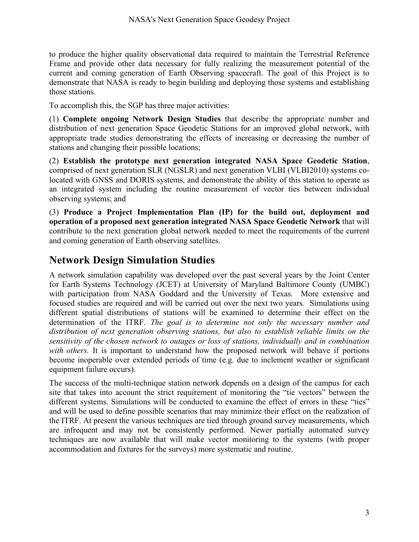to produce the higher quality observational data required to maintain the Terrestrial Reference Frame and provide other data necessary for fully realizing the measurement potential of the current and coming generation of Earth Observing spacecraft. The goal of this Project is to demonstrate that NASA is ready to begin building and deploying those systems and establishing those stations.

To accomplish this, the SGP has three major activities:

(1) **Complete ongoing Network Design Studies** that describe the appropriate number and distribution of next generation Space Geodetic Stations for an improved global network, with appropriate trade studies demonstrating the effects of increasing or decreasing the number of stations and changing their possible locations;

(2) **Establish the prototype next generation integrated NASA Space Geodetic Station**, comprised of next generation SLR (NGSLR) and next generation VLBI (VLBI2010) systems colocated with GNSS and DORIS systems, and demonstrate the ability of this station to operate as an integrated system including the routine measurement of vector ties between individual observing systems; and

(3) **Produce a Project Implementation Plan (IP) for the build out, deployment and operation of a proposed next generation integrated NASA Space Geodetic Network** that will contribute to the next generation global network needed to meet the requirements of the current and coming generation of Earth observing satellites.

### **Network Design Simulation Studies**

A network simulation capability was developed over the past several years by the Joint Center for Earth Systems Technology (JCET) at University of Maryland Baltimore County (UMBC) with participation from NASA Goddard and the University of Texas. More extensive and focused studies are required and will be carried out over the next two years. Simulations using different spatial distributions of stations will be examined to determine their effect on the determination of the ITRF. *The goal is to determine not only the necessary number and distribution of next generation observing stations, but also to establish reliable limits on the sensitivity of the chosen network to outages or loss of stations, individually and in combination*  with others. It is important to understand how the proposed network will behave if portions become inoperable over extended periods of time (e.g. due to inclement weather or significant equipment failure occurs).

The success of the multi-technique station network depends on a design of the campus for each site that takes into account the strict requirement of monitoring the "tie vectors" between the different systems. Simulations will be conducted to examine the effect of errors in these "ties" and will be used to define possible scenarios that may minimize their effect on the realization of the ITRF. At present the various techniques are tied through ground survey measurements, which are infrequent and may not be consistently performed. Newer partially automated survey techniques are now available that will make vector monitoring to the systems (with proper accommodation and fixtures for the surveys) more systematic and routine.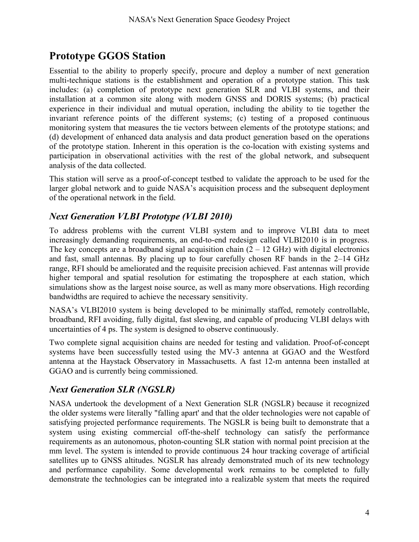## **Prototype GGOS Station**

Essential to the ability to properly specify, procure and deploy a number of next generation multi-technique stations is the establishment and operation of a prototype station. This task includes: (a) completion of prototype next generation SLR and VLBI systems, and their installation at a common site along with modern GNSS and DORIS systems; (b) practical experience in their individual and mutual operation, including the ability to tie together the invariant reference points of the different systems; (c) testing of a proposed continuous monitoring system that measures the tie vectors between elements of the prototype stations; and (d) development of enhanced data analysis and data product generation based on the operations of the prototype station. Inherent in this operation is the co-location with existing systems and participation in observational activities with the rest of the global network, and subsequent analysis of the data collected.

This station will serve as a proof-of-concept testbed to validate the approach to be used for the larger global network and to guide NASA's acquisition process and the subsequent deployment of the operational network in the field.

#### *Next Generation VLBI Prototype (VLBI 2010)*

To address problems with the current VLBI system and to improve VLBI data to meet increasingly demanding requirements, an end-to-end redesign called VLBI2010 is in progress. The key concepts are a broadband signal acquisition chain  $(2 - 12 \text{ GHz})$  with digital electronics and fast, small antennas. By placing up to four carefully chosen RF bands in the 2–14 GHz range, RFI should be ameliorated and the requisite precision achieved. Fast antennas will provide higher temporal and spatial resolution for estimating the troposphere at each station, which simulations show as the largest noise source, as well as many more observations. High recording bandwidths are required to achieve the necessary sensitivity.

NASA's VLBI2010 system is being developed to be minimally staffed, remotely controllable, broadband, RFI avoiding, fully digital, fast slewing, and capable of producing VLBI delays with uncertainties of 4 ps. The system is designed to observe continuously.

Two complete signal acquisition chains are needed for testing and validation. Proof-of-concept systems have been successfully tested using the MV-3 antenna at GGAO and the Westford antenna at the Haystack Observatory in Massachusetts. A fast 12-m antenna been installed at GGAO and is currently being commissioned.

#### *Next Generation SLR (NGSLR)*

NASA undertook the development of a Next Generation SLR (NGSLR) because it recognized the older systems were literally "falling apart' and that the older technologies were not capable of satisfying projected performance requirements. The NGSLR is being built to demonstrate that a system using existing commercial off-the-shelf technology can satisfy the performance requirements as an autonomous, photon-counting SLR station with normal point precision at the mm level. The system is intended to provide continuous 24 hour tracking coverage of artificial satellites up to GNSS altitudes. NGSLR has already demonstrated much of its new technology and performance capability. Some developmental work remains to be completed to fully demonstrate the technologies can be integrated into a realizable system that meets the required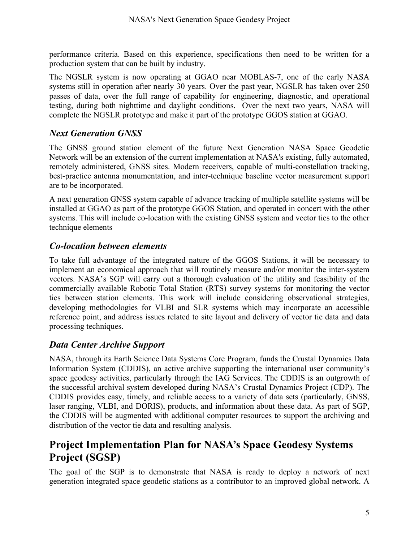performance criteria. Based on this experience, specifications then need to be written for a production system that can be built by industry.

The NGSLR system is now operating at GGAO near MOBLAS-7, one of the early NASA systems still in operation after nearly 30 years. Over the past year, NGSLR has taken over 250 passes of data, over the full range of capability for engineering, diagnostic, and operational testing, during both nighttime and daylight conditions. Over the next two years, NASA will complete the NGSLR prototype and make it part of the prototype GGOS station at GGAO.

#### *Next Generation GNSS*

The GNSS ground station element of the future Next Generation NASA Space Geodetic Network will be an extension of the current implementation at NASA's existing, fully automated, remotely administered, GNSS sites. Modern receivers, capable of multi-constellation tracking, best-practice antenna monumentation, and inter-technique baseline vector measurement support are to be incorporated.

A next generation GNSS system capable of advance tracking of multiple satellite systems will be installed at GGAO as part of the prototype GGOS Station, and operated in concert with the other systems. This will include co-location with the existing GNSS system and vector ties to the other technique elements

#### *Co-location between elements*

To take full advantage of the integrated nature of the GGOS Stations, it will be necessary to implement an economical approach that will routinely measure and/or monitor the inter-system vectors. NASA's SGP will carry out a thorough evaluation of the utility and feasibility of the commercially available Robotic Total Station (RTS) survey systems for monitoring the vector ties between station elements. This work will include considering observational strategies, developing methodologies for VLBI and SLR systems which may incorporate an accessible reference point, and address issues related to site layout and delivery of vector tie data and data processing techniques.

#### *Data Center Archive Support*

NASA, through its Earth Science Data Systems Core Program, funds the Crustal Dynamics Data Information System (CDDIS), an active archive supporting the international user community's space geodesy activities, particularly through the IAG Services. The CDDIS is an outgrowth of the successful archival system developed during NASA's Crustal Dynamics Project (CDP). The CDDIS provides easy, timely, and reliable access to a variety of data sets (particularly, GNSS, laser ranging, VLBI, and DORIS), products, and information about these data. As part of SGP, the CDDIS will be augmented with additional computer resources to support the archiving and distribution of the vector tie data and resulting analysis.

## **Project Implementation Plan for NASA's Space Geodesy Systems Project (SGSP)**

The goal of the SGP is to demonstrate that NASA is ready to deploy a network of next generation integrated space geodetic stations as a contributor to an improved global network. A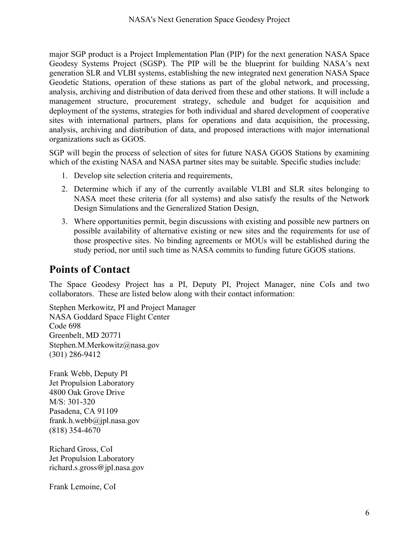major SGP product is a Project Implementation Plan (PIP) for the next generation NASA Space Geodesy Systems Project (SGSP). The PIP will be the blueprint for building NASA's next generation SLR and VLBI systems, establishing the new integrated next generation NASA Space Geodetic Stations, operation of these stations as part of the global network, and processing, analysis, archiving and distribution of data derived from these and other stations. It will include a management structure, procurement strategy, schedule and budget for acquisition and deployment of the systems, strategies for both individual and shared development of cooperative sites with international partners, plans for operations and data acquisition, the processing, analysis, archiving and distribution of data, and proposed interactions with major international organizations such as GGOS.

SGP will begin the process of selection of sites for future NASA GGOS Stations by examining which of the existing NASA and NASA partner sites may be suitable. Specific studies include:

- 1. Develop site selection criteria and requirements,
- 2. Determine which if any of the currently available VLBI and SLR sites belonging to NASA meet these criteria (for all systems) and also satisfy the results of the Network Design Simulations and the Generalized Station Design,
- 3. Where opportunities permit, begin discussions with existing and possible new partners on possible availability of alternative existing or new sites and the requirements for use of those prospective sites. No binding agreements or MOUs will be established during the study period, nor until such time as NASA commits to funding future GGOS stations.

## **Points of Contact**

The Space Geodesy Project has a PI, Deputy PI, Project Manager, nine CoIs and two collaborators. These are listed below along with their contact information:

Stephen Merkowitz, PI and Project Manager NASA Goddard Space Flight Center Code 698 Greenbelt, MD 20771 Stephen.M.Merkowitz@nasa.gov (301) 286-9412

Frank Webb, Deputy PI Jet Propulsion Laboratory 4800 Oak Grove Drive M/S: 301-320 Pasadena, CA 91109 frank.h.webb@jpl.nasa.gov (818) 354-4670

Richard Gross, CoI Jet Propulsion Laboratory richard.s.gross@jpl.nasa.gov

Frank Lemoine, CoI